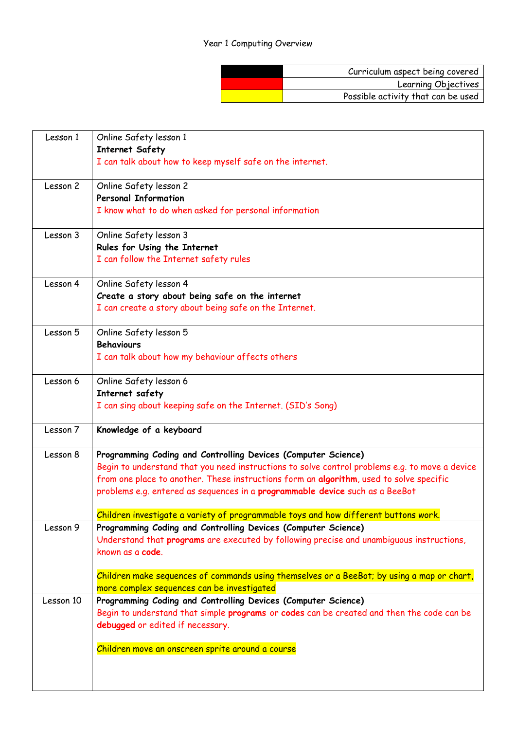## Year 1 Computing Overview

| Curriculum aspect being covered    |
|------------------------------------|
| Learning Objectives                |
| Possible activity that can be used |

| Lesson 1  | Online Safety lesson 1                                                                         |
|-----------|------------------------------------------------------------------------------------------------|
|           | <b>Internet Safety</b>                                                                         |
|           | I can talk about how to keep myself safe on the internet.                                      |
| Lesson 2  | Online Safety lesson 2                                                                         |
|           | <b>Personal Information</b>                                                                    |
|           | I know what to do when asked for personal information                                          |
| Lesson 3  | Online Safety lesson 3                                                                         |
|           | Rules for Using the Internet                                                                   |
|           | I can follow the Internet safety rules                                                         |
| Lesson 4  | Online Safety lesson 4                                                                         |
|           | Create a story about being safe on the internet                                                |
|           | I can create a story about being safe on the Internet.                                         |
| Lesson 5  | Online Safety lesson 5                                                                         |
|           | <b>Behaviours</b>                                                                              |
|           | I can talk about how my behaviour affects others                                               |
| Lesson 6  | Online Safety lesson 6                                                                         |
|           | Internet safety                                                                                |
|           | I can sing about keeping safe on the Internet. (SID's Song)                                    |
| Lesson 7  | Knowledge of a keyboard                                                                        |
| Lesson 8  | Programming Coding and Controlling Devices (Computer Science)                                  |
|           | Begin to understand that you need instructions to solve control problems e.g. to move a device |
|           | from one place to another. These instructions form an algorithm, used to solve specific        |
|           | problems e.g. entered as sequences in a programmable device such as a BeeBot                   |
|           | Children investigate a variety of programmable toys and how different buttons work.            |
| Lesson 9  | Programming Coding and Controlling Devices (Computer Science)                                  |
|           | Understand that programs are executed by following precise and unambiguous instructions,       |
|           | known as a code.                                                                               |
|           | Children make sequences of commands using themselves or a BeeBot; by using a map or chart,     |
|           | more complex sequences can be investigated                                                     |
| Lesson 10 | Programming Coding and Controlling Devices (Computer Science)                                  |
|           | Begin to understand that simple programs or codes can be created and then the code can be      |
|           | debugged or edited if necessary.                                                               |
|           | Children move an onscreen sprite around a course                                               |
|           |                                                                                                |
|           |                                                                                                |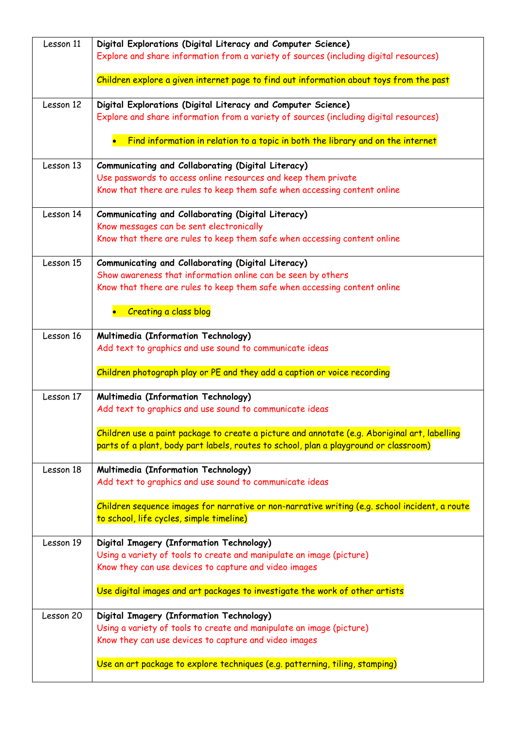| Lesson 11 | Digital Explorations (Digital Literacy and Computer Science)<br>Explore and share information from a variety of sources (including digital resources) |
|-----------|-------------------------------------------------------------------------------------------------------------------------------------------------------|
|           |                                                                                                                                                       |
|           | Children explore a given internet page to find out information about toys from the past                                                               |
| Lesson 12 | Digital Explorations (Digital Literacy and Computer Science)                                                                                          |
|           | Explore and share information from a variety of sources (including digital resources)                                                                 |
|           | Find information in relation to a topic in both the library and on the internet                                                                       |
| Lesson 13 | Communicating and Collaborating (Digital Literacy)                                                                                                    |
|           | Use passwords to access online resources and keep them private                                                                                        |
|           | Know that there are rules to keep them safe when accessing content online                                                                             |
| Lesson 14 | Communicating and Collaborating (Digital Literacy)                                                                                                    |
|           | Know messages can be sent electronically                                                                                                              |
|           | Know that there are rules to keep them safe when accessing content online                                                                             |
| Lesson 15 | Communicating and Collaborating (Digital Literacy)                                                                                                    |
|           | Show awareness that information online can be seen by others                                                                                          |
|           | Know that there are rules to keep them safe when accessing content online                                                                             |
|           | <b>Creating a class blog</b>                                                                                                                          |
| Lesson 16 | Multimedia (Information Technology)                                                                                                                   |
|           | Add text to graphics and use sound to communicate ideas                                                                                               |
|           | Children photograph play or PE and they add a caption or voice recording                                                                              |
| Lesson 17 | Multimedia (Information Technology)                                                                                                                   |
|           | Add text to graphics and use sound to communicate ideas                                                                                               |
|           | Children use a paint package to create a picture and annotate (e.g. Aboriginal art, labelling                                                         |
|           | parts of a plant, body part labels, routes to school, plan a playground or classroom)                                                                 |
| Lesson 18 | Multimedia (Information Technology)                                                                                                                   |
|           | Add text to graphics and use sound to communicate ideas                                                                                               |
|           | Children sequence images for narrative or non-narrative writing (e.g. school incident, a route                                                        |
|           | to school, life cycles, simple timeline)                                                                                                              |
| Lesson 19 | Digital Imagery (Information Technology)                                                                                                              |
|           | Using a variety of tools to create and manipulate an image (picture)                                                                                  |
|           | Know they can use devices to capture and video images                                                                                                 |
|           | Use digital images and art packages to investigate the work of other artists                                                                          |
| Lesson 20 | Digital Imagery (Information Technology)                                                                                                              |
|           | Using a variety of tools to create and manipulate an image (picture)                                                                                  |
|           | Know they can use devices to capture and video images                                                                                                 |
|           | Use an art package to explore techniques (e.g. patterning, tiling, stamping)                                                                          |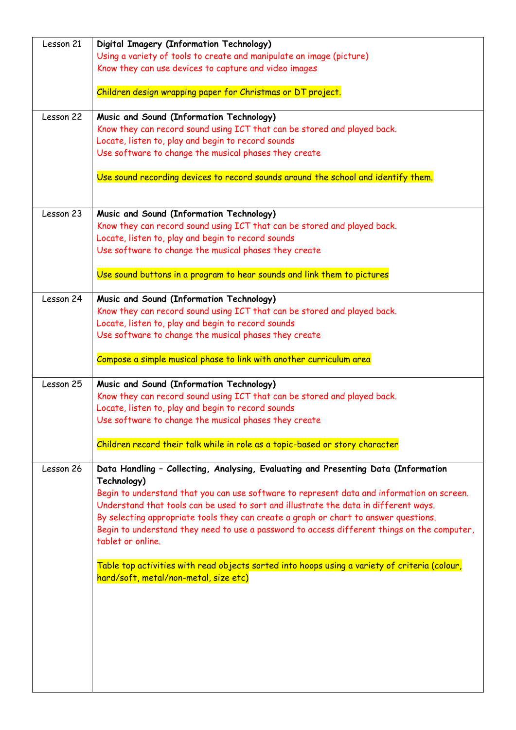| Lesson 21 | Digital Imagery (Information Technology)                                                      |
|-----------|-----------------------------------------------------------------------------------------------|
|           | Using a variety of tools to create and manipulate an image (picture)                          |
|           | Know they can use devices to capture and video images                                         |
|           | Children design wrapping paper for Christmas or DT project.                                   |
| Lesson 22 | Music and Sound (Information Technology)                                                      |
|           | Know they can record sound using ICT that can be stored and played back.                      |
|           | Locate, listen to, play and begin to record sounds                                            |
|           | Use software to change the musical phases they create                                         |
|           | Use sound recording devices to record sounds around the school and identify them.             |
|           |                                                                                               |
| Lesson 23 | Music and Sound (Information Technology)                                                      |
|           | Know they can record sound using ICT that can be stored and played back.                      |
|           | Locate, listen to, play and begin to record sounds                                            |
|           | Use software to change the musical phases they create                                         |
|           | Use sound buttons in a program to hear sounds and link them to pictures                       |
| Lesson 24 | Music and Sound (Information Technology)                                                      |
|           | Know they can record sound using ICT that can be stored and played back.                      |
|           | Locate, listen to, play and begin to record sounds                                            |
|           | Use software to change the musical phases they create                                         |
|           |                                                                                               |
|           | Compose a simple musical phase to link with another curriculum area                           |
| Lesson 25 | Music and Sound (Information Technology)                                                      |
|           | Know they can record sound using ICT that can be stored and played back.                      |
|           | Locate, listen to, play and begin to record sounds                                            |
|           | Use software to change the musical phases they create                                         |
|           |                                                                                               |
|           | Children record their talk while in role as a topic-based or story character                  |
| Lesson 26 | Data Handling - Collecting, Analysing, Evaluating and Presenting Data (Information            |
|           | Technology)                                                                                   |
|           | Begin to understand that you can use software to represent data and information on screen.    |
|           | Understand that tools can be used to sort and illustrate the data in different ways.          |
|           | By selecting appropriate tools they can create a graph or chart to answer questions.          |
|           | Begin to understand they need to use a password to access different things on the computer,   |
|           | tablet or online.                                                                             |
|           | Table top activities with read objects sorted into hoops using a variety of criteria (colour, |
|           | hard/soft, metal/non-metal, size etc)                                                         |
|           |                                                                                               |
|           |                                                                                               |
|           |                                                                                               |
|           |                                                                                               |
|           |                                                                                               |
|           |                                                                                               |
|           |                                                                                               |
|           |                                                                                               |